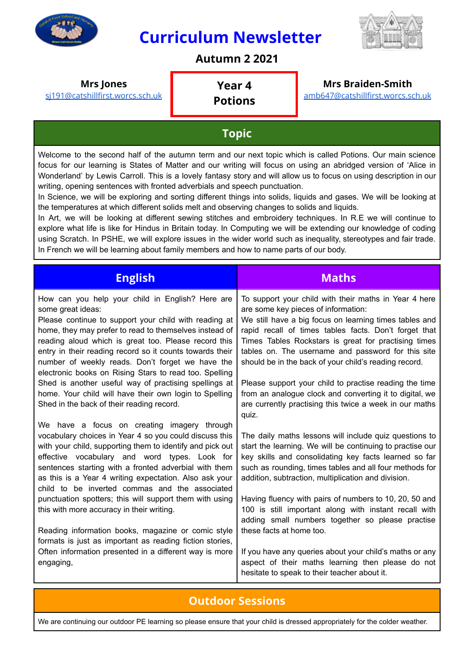

## **Curriculum Newsletter**



## **Autumn 2 2021**

#### **Mrs Jones**

[sj191@catshillfirst.worcs.sch.uk](mailto:sj191@catshillfirst.worcs.sch.uk)

#### **Year 4 Potions**

#### **Mrs Braiden-Smith**

[amb647@catshillfirst.worcs.sch.uk](mailto:amb647@catshillfirst.worcs.sch.uk)

### **Topic**

Welcome to the second half of the autumn term and our next topic which is called Potions. Our main science focus for our learning is States of Matter and our writing will focus on using an abridged version of 'Alice in Wonderland' by Lewis Carroll. This is a lovely fantasy story and will allow us to focus on using description in our writing, opening sentences with fronted adverbials and speech punctuation.

In Science, we will be exploring and sorting different things into solids, liquids and gases. We will be looking at the temperatures at which different solids melt and observing changes to solids and liquids.

In Art, we will be looking at different sewing stitches and embroidery techniques. In R.E we will continue to explore what life is like for Hindus in Britain today. In Computing we will be extending our knowledge of coding using Scratch. In PSHE, we will explore issues in the wider world such as inequality, stereotypes and fair trade. In French we will be learning about family members and how to name parts of our body.

| <b>English</b>                                                                                                                                                                                                                                                                                                                                                                                                             | <b>Maths</b>                                                                                                                                                                                                                                                                                                                                                                           |
|----------------------------------------------------------------------------------------------------------------------------------------------------------------------------------------------------------------------------------------------------------------------------------------------------------------------------------------------------------------------------------------------------------------------------|----------------------------------------------------------------------------------------------------------------------------------------------------------------------------------------------------------------------------------------------------------------------------------------------------------------------------------------------------------------------------------------|
| How can you help your child in English? Here are<br>some great ideas:<br>Please continue to support your child with reading at<br>home, they may prefer to read to themselves instead of<br>reading aloud which is great too. Please record this<br>entry in their reading record so it counts towards their<br>number of weekly reads. Don't forget we have the<br>electronic books on Rising Stars to read too. Spelling | To support your child with their maths in Year 4 here<br>are some key pieces of information:<br>We still have a big focus on learning times tables and<br>rapid recall of times tables facts. Don't forget that<br>Times Tables Rockstars is great for practising times<br>tables on. The username and password for this site<br>should be in the back of your child's reading record. |
| Shed is another useful way of practising spellings at<br>home. Your child will have their own login to Spelling<br>Shed in the back of their reading record.                                                                                                                                                                                                                                                               | Please support your child to practise reading the time<br>from an analogue clock and converting it to digital, we<br>are currently practising this twice a week in our maths<br>quiz.                                                                                                                                                                                                  |
| We have a focus on creating imagery through<br>vocabulary choices in Year 4 so you could discuss this<br>with your child, supporting them to identify and pick out<br>effective vocabulary and word types. Look for<br>sentences starting with a fronted adverbial with them<br>as this is a Year 4 writing expectation. Also ask your<br>child to be inverted commas and the associated                                   | The daily maths lessons will include quiz questions to<br>start the learning. We will be continuing to practise our<br>key skills and consolidating key facts learned so far<br>such as rounding, times tables and all four methods for<br>addition, subtraction, multiplication and division.                                                                                         |
| punctuation spotters; this will support them with using<br>this with more accuracy in their writing.                                                                                                                                                                                                                                                                                                                       | Having fluency with pairs of numbers to 10, 20, 50 and<br>100 is still important along with instant recall with<br>adding small numbers together so please practise                                                                                                                                                                                                                    |
| Reading information books, magazine or comic style<br>formats is just as important as reading fiction stories,                                                                                                                                                                                                                                                                                                             | these facts at home too.                                                                                                                                                                                                                                                                                                                                                               |
| Often information presented in a different way is more<br>engaging,                                                                                                                                                                                                                                                                                                                                                        | If you have any queries about your child's maths or any<br>aspect of their maths learning then please do not<br>hesitate to speak to their teacher about it.                                                                                                                                                                                                                           |

### **Outdoor Sessions**

We are continuing our outdoor PE learning so please ensure that your child is dressed appropriately for the colder weather.